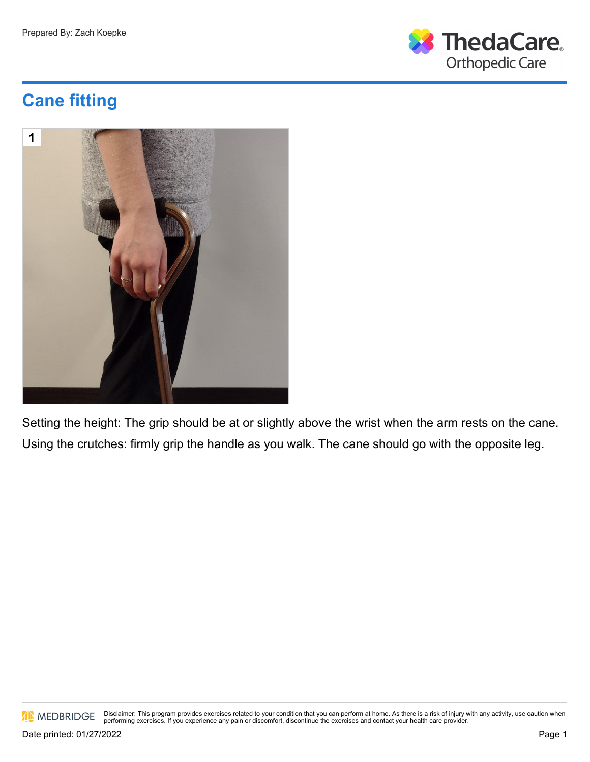

## **Cane fitting**



Setting the height: The grip should be at or slightly above the wrist when the arm rests on the cane. Using the crutches: firmly grip the handle as you walk. The cane should go with the opposite leg.



Disclaimer: This program provides exercises related to your condition that you can perform at home. As there is a risk of injury with any activity, use caution when<br>performing exercises. If you experience any pain or disco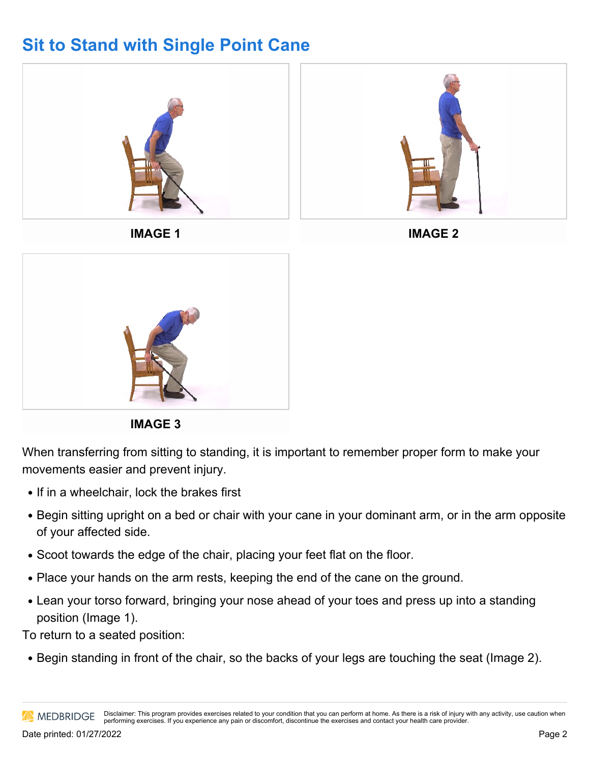## **Sit to Stand with Single Point Cane**





When transferring from sitting to standing, it is important to remember proper form to make your movements easier and prevent injury.

- If in a wheelchair, lock the brakes first
- Begin sitting upright on a bed or chair with your cane in your dominant arm, or in the arm opposite of your affected side.
- Scoot towards the edge of the chair, placing your feet flat on the floor.
- Place your hands on the arm rests, keeping the end of the cane on the ground.
- Lean your torso forward, bringing your nose ahead of your toes and press up into a standing position (Image 1).

To return to a seated position:

• Begin standing in front of the chair, so the backs of your legs are touching the seat (Image 2).

Disclaimer: This program provides exercises related to your condition that you can perform at home. As there is a risk of injury with any activity, use caution when **AN MEDBRIDGE** performing exercises. If you experience any pain or discomfort, discontinue the exercises and contact your health care provider.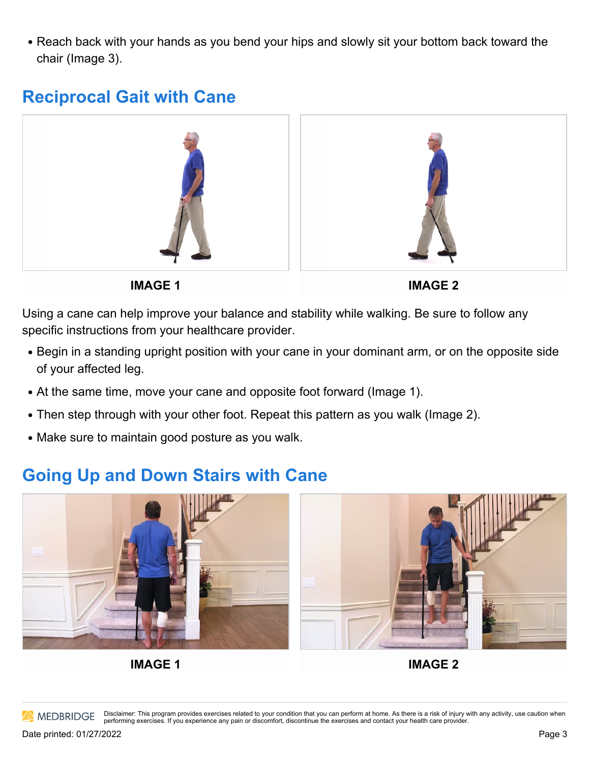• Reach back with your hands as you bend your hips and slowly sit your bottom back toward the chair (Image 3).

## **Reciprocal Gait with Cane**



**IMAGE 1**

**IMAGE 2**

Using a cane can help improve your balance and stability while walking. Be sure to follow any specific instructions from your healthcare provider.

- Begin in a standing upright position with your cane in your dominant arm, or on the opposite side of your affected leg.
- At the same time, move your cane and opposite foot forward (Image 1).
- Then step through with your other foot. Repeat this pattern as you walk (Image 2).
- Make sure to maintain good posture as you walk.

## **Going Up and Down Stairs with Cane**





**IMAGE 1**

**IMAGE 2**

**AN MEDBRIDGE** 

Disclaimer: This program provides exercises related to your condition that you can perform at home. As there is a risk of injury with any activity, use caution when performing exercises. If you experience any pain or discomfort, discontinue the exercises and contact your health care provider.